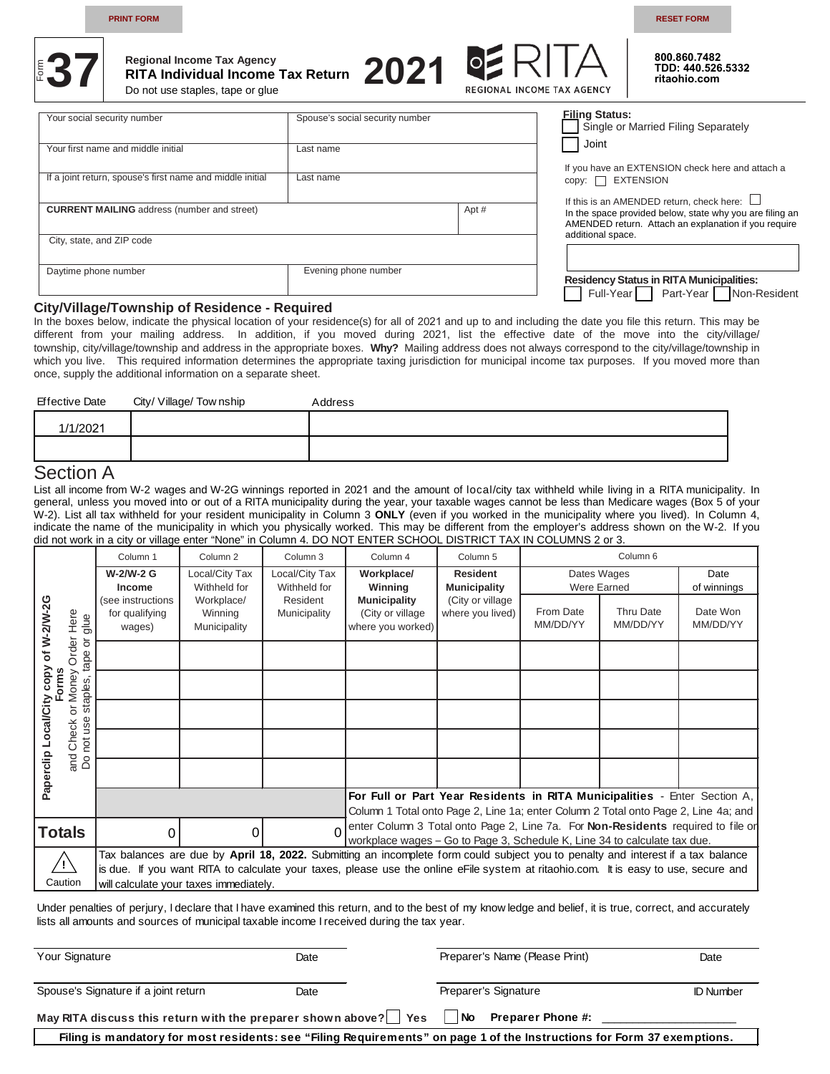**PRINT FORM RESET FORM**

**800.860.7482 TDD: 440.526.5332 ritaohio.com** 



# **Regional Income Tax Agency RITA Individual Income Tax Return**   $\frac{1}{2}$ **37** Rigional Income Tax Agency<br>Do not use staples, tape or glue

Do not use staples, tape or glue



| Your social security number                               | Spouse's social security number |       | <b>Filing Status:</b><br>Single or Married Filing Separately                                                     |
|-----------------------------------------------------------|---------------------------------|-------|------------------------------------------------------------------------------------------------------------------|
| Your first name and middle initial                        | Last name                       |       | Joint<br>If you have an EXTENSION check here and attach a                                                        |
| If a joint return, spouse's first name and middle initial | Last name                       |       | $copy: \Box$ EXTENSION<br>If this is an AMENDED return, check here: $\Box$                                       |
| <b>CURRENT MAILING</b> address (number and street)        |                                 | Apt # | In the space provided below, state why you are filing an<br>AMENDED return. Attach an explanation if you require |
| City, state, and ZIP code                                 |                                 |       | additional space.                                                                                                |
| Daytime phone number                                      | Evening phone number            |       | <b>Residency Status in RITA Municipalities:</b><br>Full-Year Part-Year Non-Resident                              |

#### **City/Village/Township of Residence - Required**

In the boxes below, indicate the physical location of your residence(s) for all of 2021 and up to and including the date you file this return. This may be different from your mailing address. In addition, if you moved during 2021, list the effective date of the move into the city/village/ township, city/village/township and address in the appropriate boxes. **Why?** Mailing address does not always correspond to the city/village/township in which you live. This required information determines the appropriate taxing jurisdiction for municipal income tax purposes. If you moved more than once, supply the additional information on a separate sheet.

| <b>Effective Date</b>           | City/ Village/ Tow nship | Address |
|---------------------------------|--------------------------|---------|
| 1/1/2021                        |                          |         |
|                                 |                          |         |
| $\sim$ $\sim$<br>$\blacksquare$ |                          |         |

# Section A

List all income from W-2 wages and W-2G winnings reported in 2021 and the amount of local/city tax withheld while living in a RITA municipality. In general, unless you moved into or out of a RITA municipality during the year, your taxable wages cannot be less than Medicare wages (Box 5 of your W-2). List all tax withheld for your resident municipality in Column 3 **ONLY** (even if you worked in the municipality where you lived). In Column 4, indicate the name of the municipality in which you physically worked. This may be different from the employer's address shown on the W-2. If you did not work in a city or village enter "None" in Column 4. DO NOT ENTER SCHOOL DISTRICT TAX IN COLUMNS 2 or 3.

|                      |                                                                                                                                                                                                             | Column <sub>1</sub>                           | Column <sub>2</sub>                   | Column <sub>3</sub>            | Column <sub>4</sub>                                                                                                                                              | Column <sub>5</sub>                    |                       | Column <sub>6</sub>          |                      |
|----------------------|-------------------------------------------------------------------------------------------------------------------------------------------------------------------------------------------------------------|-----------------------------------------------|---------------------------------------|--------------------------------|------------------------------------------------------------------------------------------------------------------------------------------------------------------|----------------------------------------|-----------------------|------------------------------|----------------------|
|                      |                                                                                                                                                                                                             | W-2/W-2 G<br>Income                           | Local/City Tax<br>Withheld for        | Local/City Tax<br>Withheld for | Workplace/<br>Winning                                                                                                                                            | <b>Resident</b><br><b>Municipality</b> |                       | Dates Wages<br>Were Earned   | Date<br>of winnings  |
| of W-2/W-2G          | Here<br>glue                                                                                                                                                                                                | (see instructions<br>for qualifying<br>wages) | Workplace/<br>Winning<br>Municipality | Resident<br>Municipality       | <b>Municipality</b><br>(City or village<br>where you worked)                                                                                                     | (City or village)<br>where you lived)  | From Date<br>MM/DD/YY | <b>Thru Date</b><br>MM/DD/YY | Date Won<br>MM/DD/YY |
|                      | Order<br>$\overline{\circ}$<br>tape                                                                                                                                                                         |                                               |                                       |                                |                                                                                                                                                                  |                                        |                       |                              |                      |
| copy<br>Forms        | Money<br>staples                                                                                                                                                                                            |                                               |                                       |                                |                                                                                                                                                                  |                                        |                       |                              |                      |
| Paperclip Local/City | ŏ<br>use                                                                                                                                                                                                    |                                               |                                       |                                |                                                                                                                                                                  |                                        |                       |                              |                      |
|                      | Check<br>not                                                                                                                                                                                                |                                               |                                       |                                |                                                                                                                                                                  |                                        |                       |                              |                      |
|                      | $rac{1}{6}$                                                                                                                                                                                                 |                                               |                                       |                                |                                                                                                                                                                  |                                        |                       |                              |                      |
|                      |                                                                                                                                                                                                             |                                               |                                       |                                | For Full or Part Year Residents in RITA Municipalities - Enter Section A,<br>Column 1 Total onto Page 2, Line 1a; enter Column 2 Total onto Page 2, Line 4a; and |                                        |                       |                              |                      |
|                      | enter Column 3 Total onto Page 2, Line 7a. For Non-Residents required to file or<br><b>Totals</b><br>$\Omega$<br>$\Omega$<br>∩<br>workplace wages - Go to Page 3, Schedule K, Line 34 to calculate tax due. |                                               |                                       |                                |                                                                                                                                                                  |                                        |                       |                              |                      |
|                      | Tax balances are due by April 18, 2022. Submitting an incomplete form could subject you to penalty and interest if a tax balance                                                                            |                                               |                                       |                                |                                                                                                                                                                  |                                        |                       |                              |                      |
|                      |                                                                                                                                                                                                             |                                               |                                       |                                | is due. If you want RITA to calculate your taxes, please use the online eFile system at ritaohio.com. It is easy to use, secure and                              |                                        |                       |                              |                      |
|                      | Caution                                                                                                                                                                                                     | will calculate your taxes immediately.        |                                       |                                |                                                                                                                                                                  |                                        |                       |                              |                      |

Under penalties of perjury, I declare that I have examined this return, and to the best of my know ledge and belief, it is true, correct, and accurately lists all amounts and sources of municipal taxable income I received during the tax year.

| Your Signature                                                    | Date | Preparer's Name (Please Print)                                                                                          | Date             |
|-------------------------------------------------------------------|------|-------------------------------------------------------------------------------------------------------------------------|------------------|
| Spouse's Signature if a joint return                              | Date | Preparer's Signature                                                                                                    | <b>ID Number</b> |
| May RITA discuss this return with the preparer shown above?   Yes |      | l No<br><b>Preparer Phone #:</b>                                                                                        |                  |
|                                                                   |      | Filing is mandatory for most residents: see "Filing Requirements" on page 1 of the Instructions for Form 37 exemptions. |                  |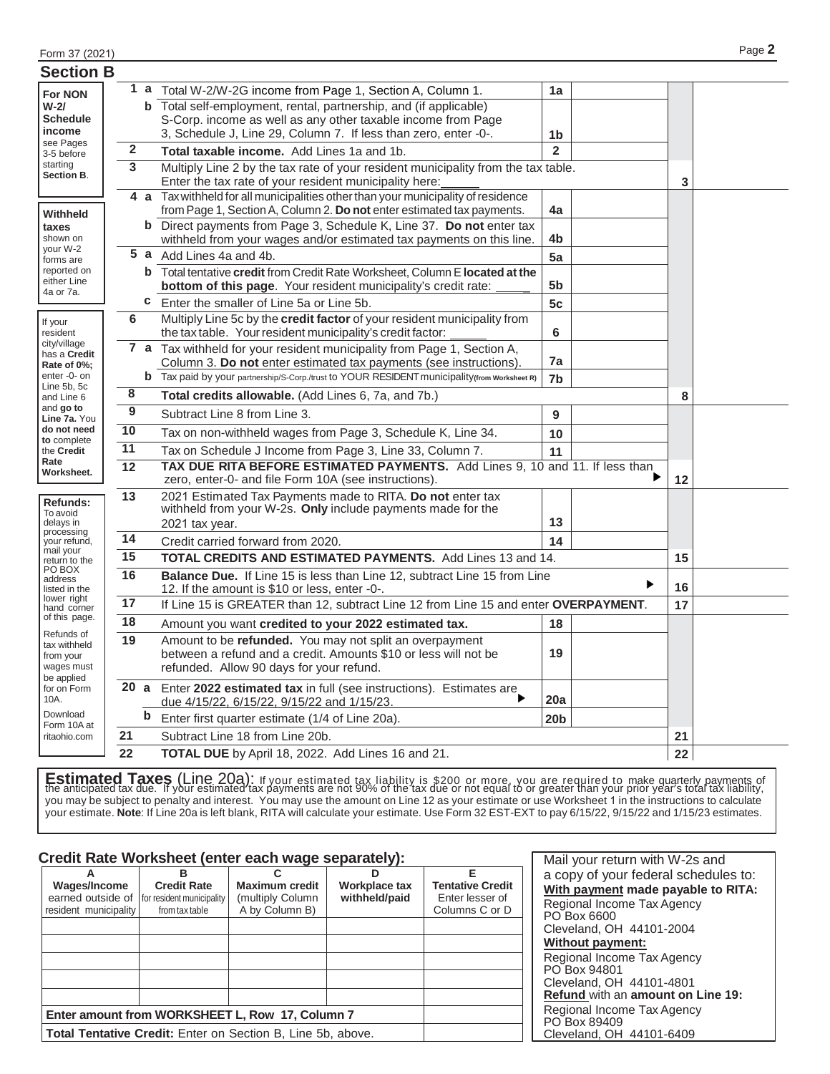| <b>Section B</b>             |                                                                                |                                                                                                                                      |                                                                                                                                                     |                      |  |    |  |
|------------------------------|--------------------------------------------------------------------------------|--------------------------------------------------------------------------------------------------------------------------------------|-----------------------------------------------------------------------------------------------------------------------------------------------------|----------------------|--|----|--|
| <b>For NON</b>               |                                                                                | 1a                                                                                                                                   | Total W-2/W-2G income from Page 1, Section A, Column 1.                                                                                             | 1a                   |  |    |  |
| $W-2/$                       |                                                                                |                                                                                                                                      | <b>b</b> Total self-employment, rental, partnership, and (if applicable)                                                                            |                      |  |    |  |
| <b>Schedule</b><br>income    |                                                                                |                                                                                                                                      | S-Corp. income as well as any other taxable income from Page                                                                                        |                      |  |    |  |
| see Pages                    | $\mathbf 2$                                                                    |                                                                                                                                      | 3, Schedule J, Line 29, Column 7. If less than zero, enter -0-.<br>Total taxable income. Add Lines 1a and 1b.                                       | 1b<br>$\overline{2}$ |  |    |  |
| 3-5 before<br>starting       | 3                                                                              |                                                                                                                                      |                                                                                                                                                     |                      |  |    |  |
| Section B.                   |                                                                                |                                                                                                                                      | Multiply Line 2 by the tax rate of your resident municipality from the tax table.<br>Enter the tax rate of your resident municipality here:         |                      |  | 3  |  |
|                              |                                                                                | 4а                                                                                                                                   | Tax withheld for all municipalities other than your municipality of residence                                                                       |                      |  |    |  |
| Withheld                     |                                                                                |                                                                                                                                      | from Page 1, Section A, Column 2. Do not enter estimated tax payments.                                                                              | 4a                   |  |    |  |
| taxes<br>shown on            |                                                                                |                                                                                                                                      | <b>b</b> Direct payments from Page 3, Schedule K, Line 37. Do not enter tax<br>withheld from your wages and/or estimated tax payments on this line. | 4b                   |  |    |  |
| your W-2<br>forms are        |                                                                                | 5a                                                                                                                                   | Add Lines 4a and 4b.                                                                                                                                | 5a                   |  |    |  |
| reported on                  |                                                                                | b                                                                                                                                    | Total tentative credit from Credit Rate Worksheet, Column E located at the                                                                          |                      |  |    |  |
| either Line<br>4a or 7a.     |                                                                                |                                                                                                                                      | bottom of this page. Your resident municipality's credit rate:                                                                                      | 5 <sub>b</sub>       |  |    |  |
|                              |                                                                                | C                                                                                                                                    | Enter the smaller of Line 5a or Line 5b.                                                                                                            | 5c                   |  |    |  |
| If your<br>resident          | 6                                                                              |                                                                                                                                      | Multiply Line 5c by the credit factor of your resident municipality from<br>the tax table. Your resident municipality's credit factor:              | 6                    |  |    |  |
| city/village<br>has a Credit |                                                                                |                                                                                                                                      | 7 a Tax withheld for your resident municipality from Page 1, Section A,                                                                             |                      |  |    |  |
| Rate of 0%;                  |                                                                                |                                                                                                                                      | Column 3. Do not enter estimated tax payments (see instructions).                                                                                   | 7a                   |  |    |  |
| enter-0- on<br>Line 5b, 5c   |                                                                                |                                                                                                                                      | <b>b</b> Tax paid by your partnership/S-Corp./trust to YOUR RESIDENT municipality(from Worksheet R)                                                 | 7 <sub>b</sub>       |  |    |  |
| and Line 6                   | $\overline{\mathbf{8}}$<br>Total credits allowable. (Add Lines 6, 7a, and 7b.) |                                                                                                                                      |                                                                                                                                                     |                      |  | 8  |  |
| and go to<br>Line 7a. You    | 9                                                                              |                                                                                                                                      | Subtract Line 8 from Line 3.                                                                                                                        | 9                    |  |    |  |
| do not need<br>to complete   | 10                                                                             |                                                                                                                                      | Tax on non-withheld wages from Page 3, Schedule K, Line 34.                                                                                         | 10                   |  |    |  |
| the Credit                   | $\overline{11}$                                                                |                                                                                                                                      | Tax on Schedule J Income from Page 3, Line 33, Column 7.                                                                                            | 11                   |  |    |  |
| Rate<br>Worksheet.           | $\overline{12}$                                                                | TAX DUE RITA BEFORE ESTIMATED PAYMENTS. Add Lines 9, 10 and 11. If less than<br>zero, enter-0- and file Form 10A (see instructions). |                                                                                                                                                     |                      |  |    |  |
| Refunds:                     | $\overline{13}$                                                                |                                                                                                                                      | 2021 Estimated Tax Payments made to RITA. Do not enter tax                                                                                          |                      |  |    |  |
| To avoid<br>delays in        |                                                                                |                                                                                                                                      | withheld from your W-2s. Only include payments made for the                                                                                         | 13                   |  |    |  |
| processing                   | 14                                                                             |                                                                                                                                      | 2021 tax year.                                                                                                                                      |                      |  |    |  |
| your refund,<br>mail your    |                                                                                |                                                                                                                                      | Credit carried forward from 2020.                                                                                                                   | 14                   |  |    |  |
| return to the<br>PO BOX      | 15                                                                             |                                                                                                                                      | TOTAL CREDITS AND ESTIMATED PAYMENTS. Add Lines 13 and 14.                                                                                          |                      |  | 15 |  |
| address<br>listed in the     | 16                                                                             |                                                                                                                                      | Balance Due. If Line 15 is less than Line 12, subtract Line 15 from Line<br>12. If the amount is \$10 or less, enter -0-.                           |                      |  | 16 |  |
| lower right<br>hand corner   | 17                                                                             |                                                                                                                                      | If Line 15 is GREATER than 12, subtract Line 12 from Line 15 and enter OVERPAYMENT.                                                                 |                      |  | 17 |  |
| of this page.<br>Refunds of  | 18                                                                             |                                                                                                                                      | Amount you want credited to your 2022 estimated tax.                                                                                                | 18                   |  |    |  |
| tax withheld                 | 19                                                                             |                                                                                                                                      | Amount to be refunded. You may not split an overpayment                                                                                             |                      |  |    |  |
| from your<br>wages must      |                                                                                |                                                                                                                                      | between a refund and a credit. Amounts \$10 or less will not be<br>refunded. Allow 90 days for your refund.                                         | 19                   |  |    |  |
| be applied                   |                                                                                |                                                                                                                                      |                                                                                                                                                     |                      |  |    |  |
| for on Form<br>10A.          | 20a                                                                            |                                                                                                                                      | Enter 2022 estimated tax in full (see instructions). Estimates are<br>due 4/15/22, 6/15/22, 9/15/22 and 1/15/23.                                    | 20a                  |  |    |  |
| Download<br>Form 10A at      |                                                                                | b                                                                                                                                    | Enter first quarter estimate (1/4 of Line 20a).                                                                                                     | 20 <sub>b</sub>      |  |    |  |
| ritaohio.com                 | 21                                                                             |                                                                                                                                      | Subtract Line 18 from Line 20b.                                                                                                                     |                      |  | 21 |  |
|                              | 22<br>TOTAL DUE by April 18, 2022. Add Lines 16 and 21.                        |                                                                                                                                      |                                                                                                                                                     |                      |  | 22 |  |

**Estimated Taxes (Line 20a):** If your estimated tax liability is \$200 or more, you are required to make quarterly payments of<br>the anticipated tax due. If your estimated tax payments are not 90% of the tax due or not equal you may be subject to penalty and interest. You may use the amount on Line 12 as your estimate or use Worksheet 1 in the instructions to calculate your estimate. **Note**: If Line 20a is left blank, RITA will calculate your estimate. Use Form 32 EST-EXT to pay 6/15/22, 9/15/22 and 1/15/23 estimates.

# **Credit Rate Worksheet (enter each wage separately):**

| А<br>Wages/Income<br>earned outside of<br>resident municipality | в<br><b>Credit Rate</b><br>for resident municipality<br>from tax table | С<br><b>Maximum credit</b><br>(multiply Column<br>A by Column B) | D<br>Workplace tax<br>withheld/paid | Ε<br><b>Tentative Credit</b><br>Enter lesser of<br>Columns C or D |  |  |  |
|-----------------------------------------------------------------|------------------------------------------------------------------------|------------------------------------------------------------------|-------------------------------------|-------------------------------------------------------------------|--|--|--|
|                                                                 |                                                                        |                                                                  |                                     |                                                                   |  |  |  |
|                                                                 |                                                                        |                                                                  |                                     |                                                                   |  |  |  |
|                                                                 |                                                                        |                                                                  |                                     |                                                                   |  |  |  |
|                                                                 |                                                                        |                                                                  |                                     |                                                                   |  |  |  |
|                                                                 |                                                                        |                                                                  |                                     |                                                                   |  |  |  |
|                                                                 | Enter amount from WORKSHEET L, Row 17, Column 7                        |                                                                  |                                     |                                                                   |  |  |  |
|                                                                 | <b>Total Tentative Credit:</b> Enter on Section B, Line 5b, above.     |                                                                  |                                     |                                                                   |  |  |  |

Mail your return with W-2s and a copy of your federal schedules to: **With payment made payable to RITA:** Regional Income Tax Agency PO Box 6600 Cleveland, OH 44101-2004 **Without payment:** Regional Income Tax Agency PO Box 94801 Cleveland, OH 44101-4801 **Refund** with an **amount on Line 19:** Regional Income Tax Agency PO Box 89409 Cleveland, OH 44101-6409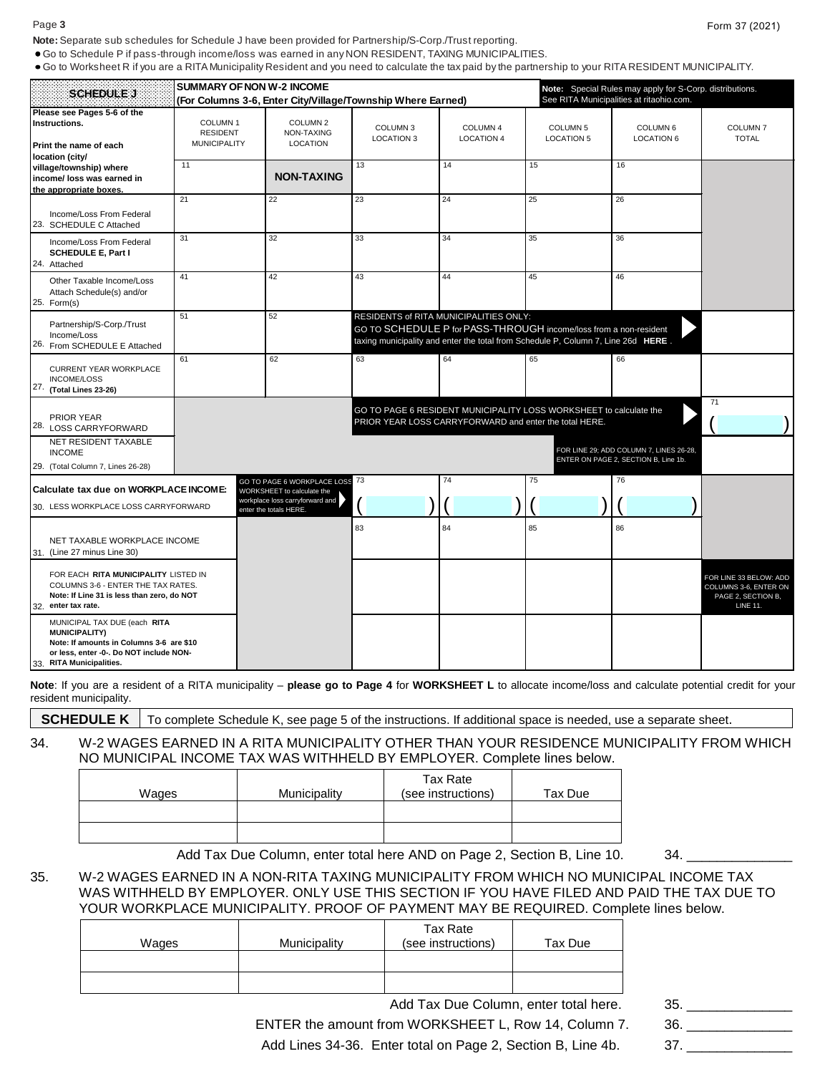#### Page **3** Form 37 (2021)

**Note:** Separate sub schedules for Schedule J have been provided for Partnership/S-Corp./Trust reporting.

Go to Schedule P if pass-through income/loss was earned in any NON RESIDENT, TAXING MUNICIPALITIES.

Go to Worksheet R if you are a RITA Municipality Resident and you need to calculate the tax paid by the partnership to your RITA RESIDENT MUNICIPALITY.

|                                                                                                                                                                         | <b>SUMMARY OF NON W-2 INCOME</b>                              |                                                              |                                                        |                               | Note: Special Rules may apply for S-Corp. distributions.                                                                                               |                                                                                 |                                                                                          |
|-------------------------------------------------------------------------------------------------------------------------------------------------------------------------|---------------------------------------------------------------|--------------------------------------------------------------|--------------------------------------------------------|-------------------------------|--------------------------------------------------------------------------------------------------------------------------------------------------------|---------------------------------------------------------------------------------|------------------------------------------------------------------------------------------|
| <b>SCHEDULE J</b>                                                                                                                                                       | (For Columns 3-6, Enter City/Village/Township Where Earned)   |                                                              |                                                        |                               |                                                                                                                                                        | See RITA Municipalities at ritaohio.com.                                        |                                                                                          |
| Please see Pages 5-6 of the<br>Instructions.<br>Print the name of each<br>location (city/                                                                               | COLUMN <sub>1</sub><br><b>RESIDENT</b><br><b>MUNICIPALITY</b> | COLUMN <sub>2</sub><br>NON-TAXING<br><b>LOCATION</b>         | COLUMN <sub>3</sub><br><b>LOCATION 3</b>               | COLUMN 4<br><b>LOCATION 4</b> | COLUMN 5<br><b>LOCATION 5</b>                                                                                                                          | COLUMN <sub>6</sub><br><b>LOCATION 6</b>                                        | COLUMN <sub>7</sub><br><b>TOTAL</b>                                                      |
| village/township) where<br>income/ loss was earned in<br>the appropriate boxes.                                                                                         | 11                                                            | <b>NON-TAXING</b>                                            | 13                                                     | 14                            | 15                                                                                                                                                     | 16                                                                              |                                                                                          |
| Income/Loss From Federal<br>23. SCHEDULE C Attached                                                                                                                     | 21                                                            | 22                                                           | 23                                                     | 24                            | 25                                                                                                                                                     | 26                                                                              |                                                                                          |
| Income/Loss From Federal<br><b>SCHEDULE E, Part I</b><br>24. Attached                                                                                                   | 31                                                            | 32                                                           | 33                                                     | 34                            | 35                                                                                                                                                     | 36                                                                              |                                                                                          |
| Other Taxable Income/Loss<br>Attach Schedule(s) and/or<br>25. Form(s)                                                                                                   | 41                                                            | 42                                                           | 43                                                     | 44                            | 45                                                                                                                                                     | 46                                                                              |                                                                                          |
| Partnership/S-Corp./Trust<br>Income/Loss<br>26. From SCHEDULE E Attached                                                                                                | 51                                                            | 52                                                           | RESIDENTS of RITA MUNICIPALITIES ONLY:                 |                               | GO TO SCHEDULE P for PASS-THROUGH income/loss from a non-resident<br>taxing municipality and enter the total from Schedule P, Column 7, Line 26d HERE. |                                                                                 |                                                                                          |
| <b>CURRENT YEAR WORKPLACE</b><br><b>INCOME/LOSS</b><br>27. (Total Lines 23-26)                                                                                          | 61                                                            | 62                                                           | 63                                                     | 64                            | 65                                                                                                                                                     | 66                                                                              |                                                                                          |
| <b>PRIOR YEAR</b><br>28. LOSS CARRYFORWARD                                                                                                                              |                                                               |                                                              | PRIOR YEAR LOSS CARRYFORWARD and enter the total HERE. |                               | GO TO PAGE 6 RESIDENT MUNICIPALITY LOSS WORKSHEET to calculate the                                                                                     |                                                                                 | 71                                                                                       |
| NET RESIDENT TAXABLE<br><b>INCOME</b><br>29. (Total Column 7, Lines 26-28)                                                                                              |                                                               |                                                              |                                                        |                               |                                                                                                                                                        | FOR LINE 29; ADD COLUMN 7, LINES 26-28,<br>ENTER ON PAGE 2, SECTION B, Line 1b. |                                                                                          |
| Calculate tax due on WORKPLACE INCOME:                                                                                                                                  |                                                               | GO TO PAGE 6 WORKPLACE LOSS 73<br>WORKSHEET to calculate the |                                                        | 74                            | 75                                                                                                                                                     | 76                                                                              |                                                                                          |
| 30. LESS WORKPLACE LOSS CARRYFORWARD                                                                                                                                    |                                                               | workplace loss carryforward and<br>enter the totals HERE     |                                                        |                               |                                                                                                                                                        |                                                                                 |                                                                                          |
| NET TAXABLE WORKPLACE INCOME<br>31. (Line 27 minus Line 30)                                                                                                             |                                                               |                                                              | 83                                                     | 84                            | 85                                                                                                                                                     | 86                                                                              |                                                                                          |
| FOR EACH RITA MUNICIPALITY LISTED IN<br>COLUMNS 3-6 - ENTER THE TAX RATES.<br>Note: If Line 31 is less than zero, do NOT<br>32. enter tax rate.                         |                                                               |                                                              |                                                        |                               |                                                                                                                                                        |                                                                                 | FOR LINE 33 BELOW: ADD<br>COLUMNS 3-6, ENTER ON<br>PAGE 2, SECTION B,<br><b>LINE 11.</b> |
| MUNICIPAL TAX DUE (each RITA<br><b>MUNICIPALITY)</b><br>Note: If amounts in Columns 3-6 are \$10<br>or less, enter -0-. Do NOT include NON-<br>33. RITA Municipalities. |                                                               |                                                              |                                                        |                               |                                                                                                                                                        |                                                                                 |                                                                                          |

**Note**: If you are a resident of a RITA municipality – **please go to Page 4** for **WORKSHEET L** to allocate income/loss and calculate potential credit for your resident municipality.

**SCHEDULE K** To complete Schedule K, see page 5 of the instructions. If additional space is needed, use a separate sheet.

## 34. W-2 WAGES EARNED IN A RITA MUNICIPALITY OTHER THAN YOUR RESIDENCE MUNICIPALITY FROM WHICH NO MUNICIPAL INCOME TAX WAS WITHHELD BY EMPLOYER. Complete lines below.

| Wages | Municipality | Tax Rate<br>(see instructions) | Tax Due |
|-------|--------------|--------------------------------|---------|
|       |              |                                |         |
|       |              |                                |         |

Add Tax Due Column, enter total here AND on Page 2, Section B, Line 10. 34.

### 35. W-2 WAGES EARNED IN A NON-RITA TAXING MUNICIPALITY FROM WHICH NO MUNICIPAL INCOME TAX WAS WITHHELD BY EMPLOYER. ONLY USE THIS SECTION IF YOU HAVE FILED AND PAID THE TAX DUE TO YOUR WORKPLACE MUNICIPALITY. PROOF OF PAYMENT MAY BE REQUIRED. Complete lines below.

| Wages | Municipality | Tax Rate<br>(see instructions) | Tax Due |
|-------|--------------|--------------------------------|---------|
|       |              |                                |         |
|       |              |                                |         |

Add Tax Due Column, enter total here. 35.

ENTER the amount from WORKSHEET L, Row 14, Column 7. 36. \_\_\_\_\_\_\_\_\_\_

Add Lines 34-36. Enter total on Page 2, Section B, Line 4b. 37.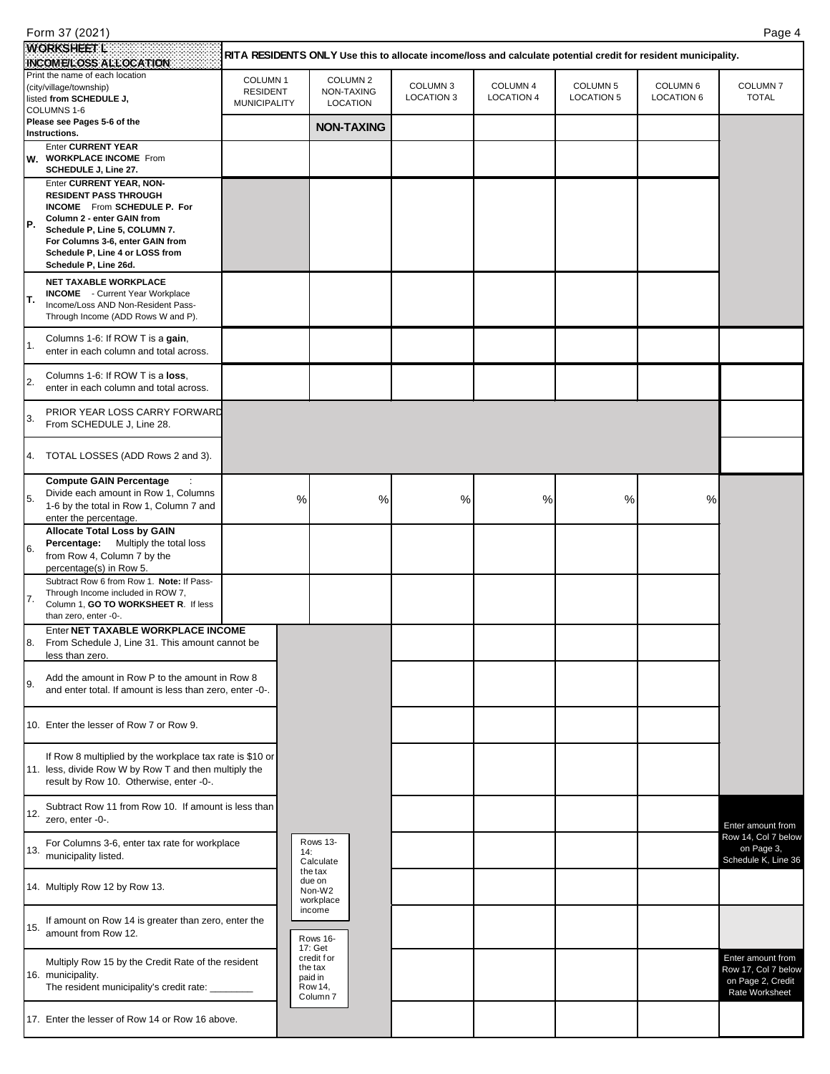|     | Form 37 (2021)                                                             |                     |                                                                                                                |                   |                   |                     |                   | Page 4              |
|-----|----------------------------------------------------------------------------|---------------------|----------------------------------------------------------------------------------------------------------------|-------------------|-------------------|---------------------|-------------------|---------------------|
|     | <b>WORKSHEET L</b>                                                         |                     | RITA RESIDENTS ONLY Use this to allocate income/loss and calculate potential credit for resident municipality. |                   |                   |                     |                   |                     |
|     | INCOME/LOSS ALLOCATION                                                     |                     |                                                                                                                |                   |                   |                     |                   |                     |
|     | Print the name of each location<br>(city/village/township)                 | COLUMN <sub>1</sub> | COLUMN <sub>2</sub>                                                                                            | COLUMN 3          | COLUMN 4          | COLUMN <sub>5</sub> | COLUMN 6          | COLUMN <sub>7</sub> |
|     | listed from SCHEDULE J,                                                    | <b>RESIDENT</b>     | NON-TAXING                                                                                                     | <b>LOCATION 3</b> | <b>LOCATION 4</b> | <b>LOCATION 5</b>   | <b>LOCATION 6</b> | <b>TOTAL</b>        |
|     | COLUMNS 1-6                                                                | <b>MUNICIPALITY</b> | <b>LOCATION</b>                                                                                                |                   |                   |                     |                   |                     |
|     | Please see Pages 5-6 of the                                                |                     | <b>NON-TAXING</b>                                                                                              |                   |                   |                     |                   |                     |
|     | Instructions.                                                              |                     |                                                                                                                |                   |                   |                     |                   |                     |
|     | <b>Enter CURRENT YEAR</b><br>W. WORKPLACE INCOME From                      |                     |                                                                                                                |                   |                   |                     |                   |                     |
|     | SCHEDULE J, Line 27.                                                       |                     |                                                                                                                |                   |                   |                     |                   |                     |
|     | Enter CURRENT YEAR, NON-                                                   |                     |                                                                                                                |                   |                   |                     |                   |                     |
|     | <b>RESIDENT PASS THROUGH</b>                                               |                     |                                                                                                                |                   |                   |                     |                   |                     |
|     | INCOME From SCHEDULE P. For                                                |                     |                                                                                                                |                   |                   |                     |                   |                     |
| Ρ.  | Column 2 - enter GAIN from                                                 |                     |                                                                                                                |                   |                   |                     |                   |                     |
|     | Schedule P, Line 5, COLUMN 7.                                              |                     |                                                                                                                |                   |                   |                     |                   |                     |
|     | For Columns 3-6, enter GAIN from<br>Schedule P, Line 4 or LOSS from        |                     |                                                                                                                |                   |                   |                     |                   |                     |
|     | Schedule P, Line 26d.                                                      |                     |                                                                                                                |                   |                   |                     |                   |                     |
|     | <b>NET TAXABLE WORKPLACE</b>                                               |                     |                                                                                                                |                   |                   |                     |                   |                     |
|     | <b>INCOME</b> - Current Year Workplace                                     |                     |                                                                                                                |                   |                   |                     |                   |                     |
| т.  | Income/Loss AND Non-Resident Pass-                                         |                     |                                                                                                                |                   |                   |                     |                   |                     |
|     | Through Income (ADD Rows W and P).                                         |                     |                                                                                                                |                   |                   |                     |                   |                     |
|     |                                                                            |                     |                                                                                                                |                   |                   |                     |                   |                     |
| 1.  | Columns 1-6: If ROW T is a gain,<br>enter in each column and total across. |                     |                                                                                                                |                   |                   |                     |                   |                     |
|     |                                                                            |                     |                                                                                                                |                   |                   |                     |                   |                     |
|     | Columns 1-6: If ROW T is a loss,                                           |                     |                                                                                                                |                   |                   |                     |                   |                     |
| 2.  | enter in each column and total across.                                     |                     |                                                                                                                |                   |                   |                     |                   |                     |
|     |                                                                            |                     |                                                                                                                |                   |                   |                     |                   |                     |
| 3.  | PRIOR YEAR LOSS CARRY FORWARD<br>From SCHEDULE J, Line 28.                 |                     |                                                                                                                |                   |                   |                     |                   |                     |
|     |                                                                            |                     |                                                                                                                |                   |                   |                     |                   |                     |
|     |                                                                            |                     |                                                                                                                |                   |                   |                     |                   |                     |
|     | 4. TOTAL LOSSES (ADD Rows 2 and 3).                                        |                     |                                                                                                                |                   |                   |                     |                   |                     |
|     |                                                                            |                     |                                                                                                                |                   |                   |                     |                   |                     |
|     | <b>Compute GAIN Percentage</b><br>Divide each amount in Row 1, Columns     |                     |                                                                                                                |                   |                   |                     |                   |                     |
| 5.  | 1-6 by the total in Row 1, Column 7 and                                    | $\%$                | $\%$                                                                                                           | %                 | $\%$              | $\%$                | $\%$              |                     |
|     | enter the percentage.                                                      |                     |                                                                                                                |                   |                   |                     |                   |                     |
|     | <b>Allocate Total Loss by GAIN</b>                                         |                     |                                                                                                                |                   |                   |                     |                   |                     |
|     | <b>Percentage:</b> Multiply the total loss                                 |                     |                                                                                                                |                   |                   |                     |                   |                     |
| 6.  | from Row 4, Column 7 by the                                                |                     |                                                                                                                |                   |                   |                     |                   |                     |
|     | percentage(s) in Row 5.                                                    |                     |                                                                                                                |                   |                   |                     |                   |                     |
|     | Subtract Row 6 from Row 1. Note: If Pass-                                  |                     |                                                                                                                |                   |                   |                     |                   |                     |
| 7.  | Through Income included in ROW 7,                                          |                     |                                                                                                                |                   |                   |                     |                   |                     |
|     | Column 1, GO TO WORKSHEET R. If less                                       |                     |                                                                                                                |                   |                   |                     |                   |                     |
|     | than zero, enter -0-.<br>Enter NET TAXABLE WORKPLACE INCOME                |                     |                                                                                                                |                   |                   |                     |                   |                     |
|     | 8. From Schedule J, Line 31. This amount cannot be                         |                     |                                                                                                                |                   |                   |                     |                   |                     |
|     | less than zero.                                                            |                     |                                                                                                                |                   |                   |                     |                   |                     |
|     |                                                                            |                     |                                                                                                                |                   |                   |                     |                   |                     |
| 9.  | Add the amount in Row P to the amount in Row 8                             |                     |                                                                                                                |                   |                   |                     |                   |                     |
|     | and enter total. If amount is less than zero, enter -0-.                   |                     |                                                                                                                |                   |                   |                     |                   |                     |
|     |                                                                            |                     |                                                                                                                |                   |                   |                     |                   |                     |
|     | 10. Enter the lesser of Row 7 or Row 9.                                    |                     |                                                                                                                |                   |                   |                     |                   |                     |
|     |                                                                            |                     |                                                                                                                |                   |                   |                     |                   |                     |
|     | If Row 8 multiplied by the workplace tax rate is \$10 or                   |                     |                                                                                                                |                   |                   |                     |                   |                     |
|     | 11. less, divide Row W by Row T and then multiply the                      |                     |                                                                                                                |                   |                   |                     |                   |                     |
|     | result by Row 10. Otherwise, enter -0-.                                    |                     |                                                                                                                |                   |                   |                     |                   |                     |
|     |                                                                            |                     |                                                                                                                |                   |                   |                     |                   |                     |
|     | Subtract Row 11 from Row 10. If amount is less than                        |                     |                                                                                                                |                   |                   |                     |                   |                     |
| 12. | zero, enter -0-.                                                           |                     |                                                                                                                |                   |                   |                     |                   | Enter amount from   |
|     |                                                                            |                     |                                                                                                                |                   |                   |                     |                   | Row 14, Col 7 below |
| 13. | For Columns 3-6, enter tax rate for workplace                              |                     | Rows 13-<br>14:                                                                                                |                   |                   |                     |                   | on Page 3,          |
|     | municipality listed.                                                       |                     | Calculate                                                                                                      |                   |                   |                     |                   | Schedule K, Line 36 |
|     |                                                                            |                     | the tax<br>due on                                                                                              |                   |                   |                     |                   |                     |
|     | 14. Multiply Row 12 by Row 13.                                             |                     | Non-W2                                                                                                         |                   |                   |                     |                   |                     |
|     |                                                                            |                     | workplace                                                                                                      |                   |                   |                     |                   |                     |
|     | If amount on Row 14 is greater than zero, enter the                        |                     | income                                                                                                         |                   |                   |                     |                   |                     |
| 15. | amount from Row 12.                                                        |                     |                                                                                                                |                   |                   |                     |                   |                     |
|     |                                                                            |                     | Rows 16-<br>17: Get                                                                                            |                   |                   |                     |                   |                     |
|     | Multiply Row 15 by the Credit Rate of the resident                         |                     | credit f or                                                                                                    |                   |                   |                     |                   | Enter amount from   |
|     | 16. municipality.                                                          |                     | the tax                                                                                                        |                   |                   |                     |                   | Row 17, Col 7 below |
|     | The resident municipality's credit rate: __                                |                     | paid in<br>Row 14,                                                                                             |                   |                   |                     |                   | on Page 2, Credit   |
|     |                                                                            |                     | Column <sub>7</sub>                                                                                            |                   |                   |                     |                   | Rate Worksheet      |
|     | 17. Enter the lesser of Row 14 or Row 16 above.                            |                     |                                                                                                                |                   |                   |                     |                   |                     |
|     |                                                                            |                     |                                                                                                                |                   |                   |                     |                   |                     |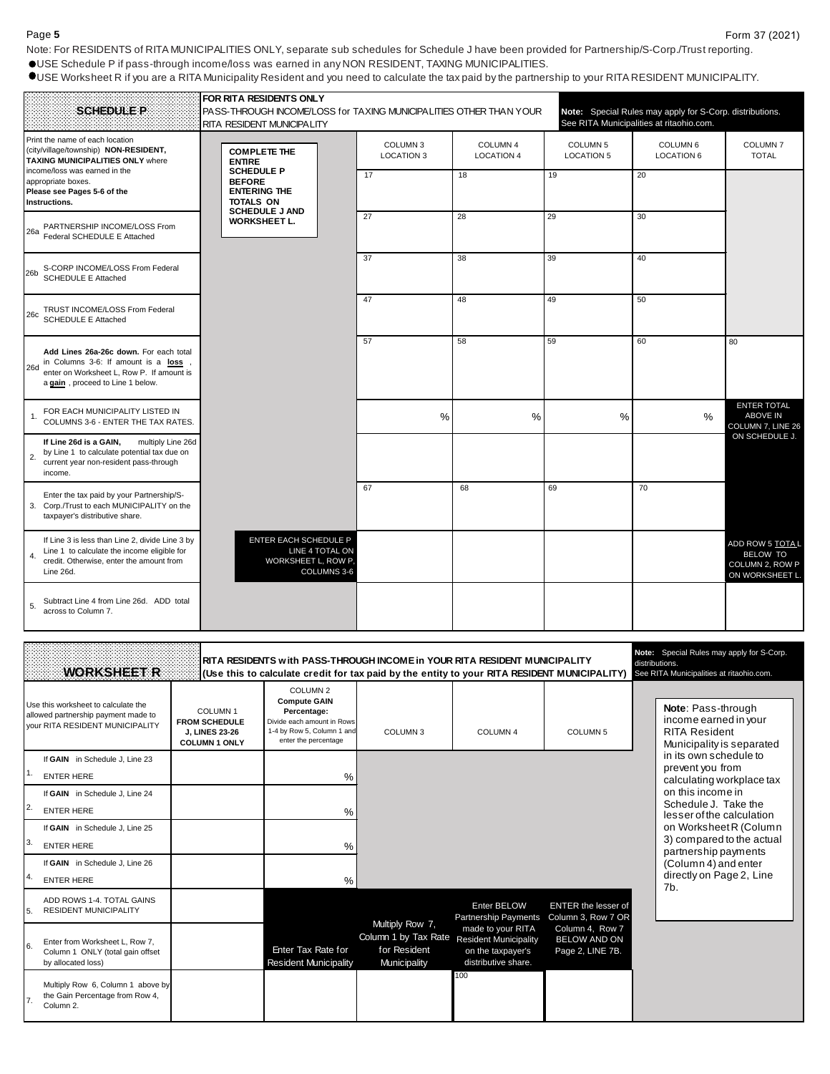Note: For RESIDENTS of RITA MUNICIPALITIES ONLY, separate sub schedules for Schedule J have been provided for Partnership/S-Corp./Trust reporting. USE Schedule P if pass-through income/loss was earned in any NON RESIDENT, TAXING MUNICIPALITIES.

USE Worksheet R if you are a RITA Municipality Resident and you need to calculate the tax paid by the partnership to your RITA RESIDENT MUNICIPALITY.

| <b>SCHEDULE P</b>                                                                                                                                                                 | FOR RITA RESIDENTS ONLY<br>PASS-THROUGH INCOME/LOSS for TAXING MUNICIPALITIES OTHER THAN YOUR<br>RITA RESIDENT MUNICIPALITY |                                          |                               |                                          | Note: Special Rules may apply for S-Corp. distributions.<br>See RITA Municipalities at ritaohio.com. |                                                                         |
|-----------------------------------------------------------------------------------------------------------------------------------------------------------------------------------|-----------------------------------------------------------------------------------------------------------------------------|------------------------------------------|-------------------------------|------------------------------------------|------------------------------------------------------------------------------------------------------|-------------------------------------------------------------------------|
| Print the name of each location<br>(city/village/township) NON-RESIDENT,<br><b>TAXING MUNICIPALITIES ONLY where</b>                                                               | <b>COMPLETE THE</b><br><b>ENTIRE</b>                                                                                        | COLUMN <sub>3</sub><br><b>LOCATION 3</b> | COLUMN 4<br><b>LOCATION 4</b> | COLUMN <sub>5</sub><br><b>LOCATION 5</b> | COLUMN <sub>6</sub><br><b>LOCATION 6</b>                                                             | COLUMN <sub>7</sub><br><b>TOTAL</b>                                     |
| income/loss was earned in the<br>appropriate boxes.<br>Please see Pages 5-6 of the<br>Instructions.                                                                               | <b>SCHEDULE P</b><br><b>BEFORE</b><br><b>ENTERING THE</b><br>TOTALS ON                                                      | 17                                       | 18                            | 19                                       | 20                                                                                                   |                                                                         |
| 26a PARTNERSHIP INCOME/LOSS From<br>Federal SCHEDULE E Attached                                                                                                                   | <b>SCHEDULE J AND</b><br><b>WORKSHEET L.</b>                                                                                | 27                                       | 28                            | 29                                       | 30                                                                                                   |                                                                         |
| S-CORP INCOME/LOSS From Federal<br>26 <sub>b</sub><br><b>SCHEDULE E Attached</b>                                                                                                  |                                                                                                                             | 37                                       | 38                            | 39                                       | 40                                                                                                   |                                                                         |
| TRUST INCOME/LOSS From Federal<br>26c<br><b>SCHEDULE E Attached</b>                                                                                                               |                                                                                                                             | 47                                       | 48                            | 49                                       | 50                                                                                                   |                                                                         |
| Add Lines 26a-26c down. For each total<br>$26d$ in Columns 3-6: If amount is a $\frac{1}{268}$ ,<br>enter on Worksheet L, Row P. If amount is<br>a gain, proceed to Line 1 below. |                                                                                                                             | 57                                       | 58                            | 59                                       | 60                                                                                                   | 80                                                                      |
| FOR EACH MUNICIPALITY LISTED IN<br>COLUMNS 3-6 - ENTER THE TAX RATES.                                                                                                             |                                                                                                                             | %                                        | $\frac{0}{0}$                 | $\frac{0}{0}$                            | $\frac{0}{0}$                                                                                        | <b>ENTER TOTAL</b><br><b>ABOVE IN</b><br>COLUMN 7, LINE 26              |
| If Line 26d is a GAIN,<br>multiply Line 26d<br>by Line 1 to calculate potential tax due on<br>2.<br>current year non-resident pass-through<br>income.                             |                                                                                                                             |                                          |                               |                                          |                                                                                                      | ON SCHEDULE J.                                                          |
| Enter the tax paid by your Partnership/S-<br>3. Corp./Trust to each MUNICIPALITY on the<br>taxpayer's distributive share.                                                         |                                                                                                                             | 67                                       | 68                            | 69                                       | 70                                                                                                   |                                                                         |
| If Line 3 is less than Line 2, divide Line 3 by<br>Line 1 to calculate the income eligible for<br>4.<br>credit. Otherwise, enter the amount from<br>Line 26d.                     | ENTER EACH SCHEDULE P<br>LINE 4 TOTAL ON<br>WORKSHEET L, ROW P,<br>COLUMNS 3-6                                              |                                          |                               |                                          |                                                                                                      | ADD ROW 5 TOTAL<br><b>BELOW TO</b><br>COLUMN 2, ROW P<br>ON WORKSHEET I |
| Subtract Line 4 from Line 26d. ADD total<br>5.<br>across to Column 7.                                                                                                             |                                                                                                                             |                                          |                               |                                          |                                                                                                      |                                                                         |

|     | <b>WORKSHEET R</b>                                                                                                   |                                                                                       |                                                                                                                                               | RITA RESIDENTS with PASS-THROUGH INCOME in YOUR RITA RESIDENT MUNICIPALITY<br>(Use this to calculate credit for tax paid by the entity to your RITA RESIDENT MUNICIPALITY |                                                                                               |                                                            | Note: Special Rules may apply for S-Corp.<br>distributions.<br>See RITA Municipalities at ritaohio.com. |
|-----|----------------------------------------------------------------------------------------------------------------------|---------------------------------------------------------------------------------------|-----------------------------------------------------------------------------------------------------------------------------------------------|---------------------------------------------------------------------------------------------------------------------------------------------------------------------------|-----------------------------------------------------------------------------------------------|------------------------------------------------------------|---------------------------------------------------------------------------------------------------------|
|     | Use this worksheet to calculate the<br>allowed partnership payment made to<br><b>VOUR RITA RESIDENT MUNICIPALITY</b> | COLUMN <sub>1</sub><br><b>FROM SCHEDULE</b><br>J. LINES 23-26<br><b>COLUMN 1 ONLY</b> | COLUMN <sub>2</sub><br><b>Compute GAIN</b><br>Percentage:<br>Divide each amount in Rows<br>1-4 by Row 5, Column 1 and<br>enter the percentage | COLUMN <sub>3</sub>                                                                                                                                                       | COLUMN <sub>4</sub>                                                                           | COLUMN <sub>5</sub>                                        | Note: Pass-through<br>income earned in your<br><b>RITA Resident</b><br>Municipality is separated        |
|     | If GAIN in Schedule J, Line 23                                                                                       |                                                                                       |                                                                                                                                               |                                                                                                                                                                           |                                                                                               |                                                            | in its own schedule to<br>prevent you from                                                              |
|     | <b>ENTER HERE</b>                                                                                                    |                                                                                       | %                                                                                                                                             |                                                                                                                                                                           |                                                                                               |                                                            | calculating workplace tax                                                                               |
|     | If GAIN in Schedule J, Line 24                                                                                       |                                                                                       |                                                                                                                                               |                                                                                                                                                                           |                                                                                               |                                                            | on this income in<br>Schedule J. Take the                                                               |
| 12. | <b>ENTER HERE</b>                                                                                                    |                                                                                       | %                                                                                                                                             |                                                                                                                                                                           |                                                                                               |                                                            | lesser of the calculation                                                                               |
|     | If GAIN in Schedule J, Line 25                                                                                       |                                                                                       |                                                                                                                                               |                                                                                                                                                                           |                                                                                               |                                                            | on Worksheet R (Column                                                                                  |
| ΙЗ. | <b>ENTER HERE</b>                                                                                                    |                                                                                       | $\frac{0}{0}$                                                                                                                                 |                                                                                                                                                                           |                                                                                               |                                                            | 3) compared to the actual<br>partnership payments                                                       |
|     | If GAIN in Schedule J, Line 26                                                                                       |                                                                                       |                                                                                                                                               |                                                                                                                                                                           |                                                                                               |                                                            | (Column 4) and enter                                                                                    |
| 14. | <b>ENTER HERE</b>                                                                                                    |                                                                                       | $\%$                                                                                                                                          |                                                                                                                                                                           |                                                                                               |                                                            | directly on Page 2, Line<br>7b.                                                                         |
| 5.  | ADD ROWS 1-4. TOTAL GAINS<br><b>RESIDENT MUNICIPALITY</b>                                                            |                                                                                       |                                                                                                                                               | Multiply Row 7,                                                                                                                                                           | Enter BELOW<br>Partnership Payments                                                           | <b>ENTER the lesser of</b><br>Column 3, Row 7 OR           |                                                                                                         |
| 16. | Enter from Worksheet L, Row 7,<br>Column 1 ONLY (total gain offset<br>by allocated loss)                             |                                                                                       | Enter Tax Rate for<br><b>Resident Municipality</b>                                                                                            | Column 1 by Tax Rate<br>for Resident<br>Municipality                                                                                                                      | made to your RITA<br><b>Resident Municipality</b><br>on the taxpayer's<br>distributive share. | Column 4, Row 7<br><b>BELOW AND ON</b><br>Page 2, LINE 7B. |                                                                                                         |
|     | Multiply Row 6, Column 1 above by<br>the Gain Percentage from Row 4,<br>Column <sub>2</sub> .                        |                                                                                       |                                                                                                                                               |                                                                                                                                                                           | 100                                                                                           |                                                            |                                                                                                         |